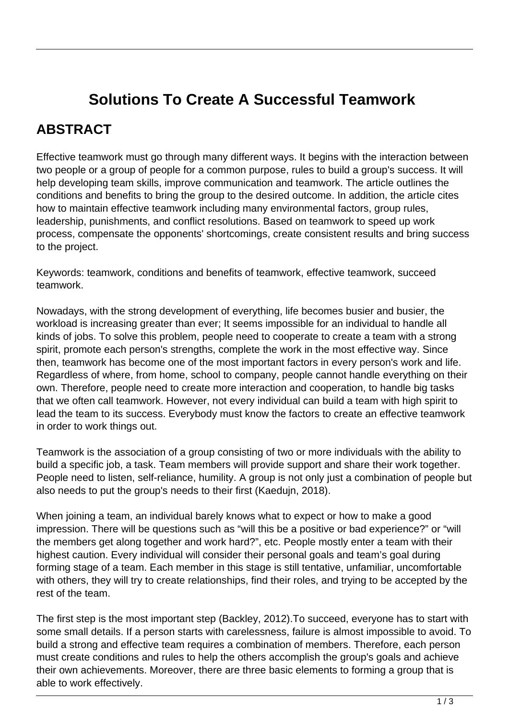## **Solutions To Create A Successful Teamwork**

## **ABSTRACT**

Effective teamwork must go through many different ways. It begins with the interaction between two people or a group of people for a common purpose, rules to build a group's success. It will help developing team skills, improve communication and teamwork. The article outlines the conditions and benefits to bring the group to the desired outcome. In addition, the article cites how to maintain effective teamwork including many environmental factors, group rules, leadership, punishments, and conflict resolutions. Based on teamwork to speed up work process, compensate the opponents' shortcomings, create consistent results and bring success to the project.

Keywords: teamwork, conditions and benefits of teamwork, effective teamwork, succeed teamwork.

Nowadays, with the strong development of everything, life becomes busier and busier, the workload is increasing greater than ever; It seems impossible for an individual to handle all kinds of jobs. To solve this problem, people need to cooperate to create a team with a strong spirit, promote each person's strengths, complete the work in the most effective way. Since then, teamwork has become one of the most important factors in every person's work and life. Regardless of where, from home, school to company, people cannot handle everything on their own. Therefore, people need to create more interaction and cooperation, to handle big tasks that we often call teamwork. However, not every individual can build a team with high spirit to lead the team to its success. Everybody must know the factors to create an effective teamwork in order to work things out.

Teamwork is the association of a group consisting of two or more individuals with the ability to build a specific job, a task. Team members will provide support and share their work together. People need to listen, self-reliance, humility. A group is not only just a combination of people but also needs to put the group's needs to their first (Kaedujn, 2018).

When joining a team, an individual barely knows what to expect or how to make a good impression. There will be questions such as "will this be a positive or bad experience?" or "will the members get along together and work hard?", etc. People mostly enter a team with their highest caution. Every individual will consider their personal goals and team's goal during forming stage of a team. Each member in this stage is still tentative, unfamiliar, uncomfortable with others, they will try to create relationships, find their roles, and trying to be accepted by the rest of the team.

The first step is the most important step (Backley, 2012).To succeed, everyone has to start with some small details. If a person starts with carelessness, failure is almost impossible to avoid. To build a strong and effective team requires a combination of members. Therefore, each person must create conditions and rules to help the others accomplish the group's goals and achieve their own achievements. Moreover, there are three basic elements to forming a group that is able to work effectively.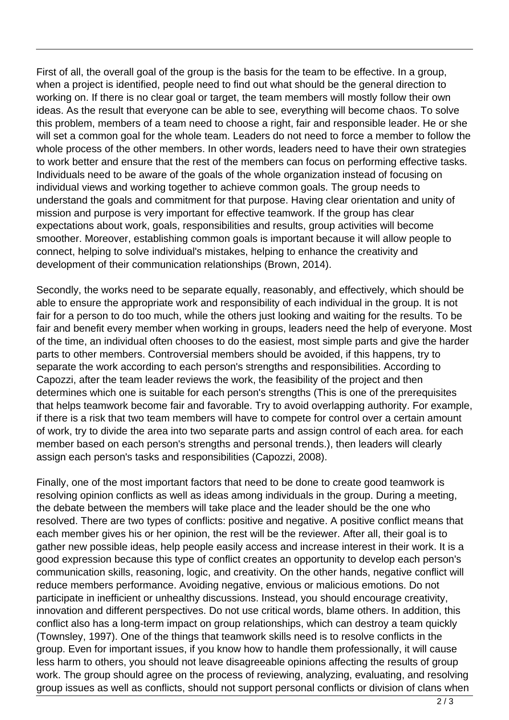First of all, the overall goal of the group is the basis for the team to be effective. In a group, when a project is identified, people need to find out what should be the general direction to working on. If there is no clear goal or target, the team members will mostly follow their own ideas. As the result that everyone can be able to see, everything will become chaos. To solve this problem, members of a team need to choose a right, fair and responsible leader. He or she will set a common goal for the whole team. Leaders do not need to force a member to follow the whole process of the other members. In other words, leaders need to have their own strategies to work better and ensure that the rest of the members can focus on performing effective tasks. Individuals need to be aware of the goals of the whole organization instead of focusing on individual views and working together to achieve common goals. The group needs to understand the goals and commitment for that purpose. Having clear orientation and unity of mission and purpose is very important for effective teamwork. If the group has clear expectations about work, goals, responsibilities and results, group activities will become smoother. Moreover, establishing common goals is important because it will allow people to connect, helping to solve individual's mistakes, helping to enhance the creativity and development of their communication relationships (Brown, 2014).

Secondly, the works need to be separate equally, reasonably, and effectively, which should be able to ensure the appropriate work and responsibility of each individual in the group. It is not fair for a person to do too much, while the others just looking and waiting for the results. To be fair and benefit every member when working in groups, leaders need the help of everyone. Most of the time, an individual often chooses to do the easiest, most simple parts and give the harder parts to other members. Controversial members should be avoided, if this happens, try to separate the work according to each person's strengths and responsibilities. According to Capozzi, after the team leader reviews the work, the feasibility of the project and then determines which one is suitable for each person's strengths (This is one of the prerequisites that helps teamwork become fair and favorable. Try to avoid overlapping authority. For example, if there is a risk that two team members will have to compete for control over a certain amount of work, try to divide the area into two separate parts and assign control of each area. for each member based on each person's strengths and personal trends.), then leaders will clearly assign each person's tasks and responsibilities (Capozzi, 2008).

Finally, one of the most important factors that need to be done to create good teamwork is resolving opinion conflicts as well as ideas among individuals in the group. During a meeting, the debate between the members will take place and the leader should be the one who resolved. There are two types of conflicts: positive and negative. A positive conflict means that each member gives his or her opinion, the rest will be the reviewer. After all, their goal is to gather new possible ideas, help people easily access and increase interest in their work. It is a good expression because this type of conflict creates an opportunity to develop each person's communication skills, reasoning, logic, and creativity. On the other hands, negative conflict will reduce members performance. Avoiding negative, envious or malicious emotions. Do not participate in inefficient or unhealthy discussions. Instead, you should encourage creativity, innovation and different perspectives. Do not use critical words, blame others. In addition, this conflict also has a long-term impact on group relationships, which can destroy a team quickly (Townsley, 1997). One of the things that teamwork skills need is to resolve conflicts in the group. Even for important issues, if you know how to handle them professionally, it will cause less harm to others, you should not leave disagreeable opinions affecting the results of group work. The group should agree on the process of reviewing, analyzing, evaluating, and resolving group issues as well as conflicts, should not support personal conflicts or division of clans when